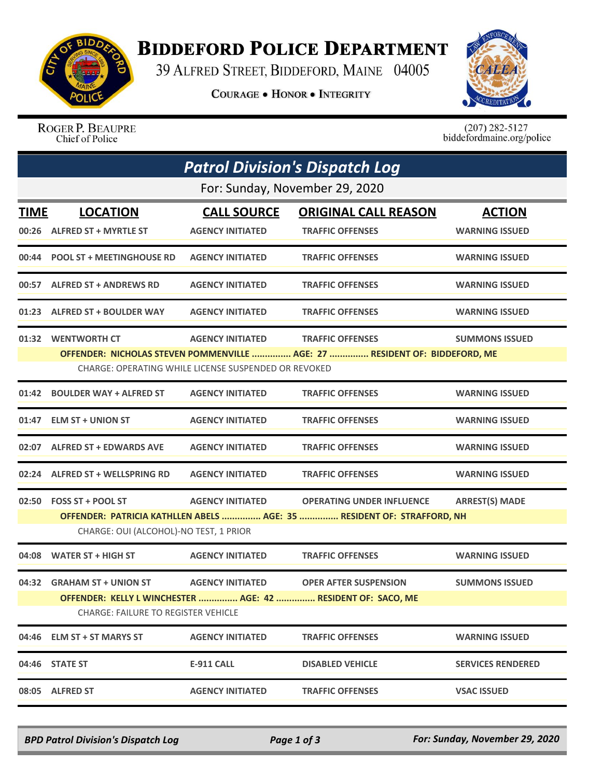

## **BIDDEFORD POLICE DEPARTMENT**

39 ALFRED STREET, BIDDEFORD, MAINE 04005

**COURAGE . HONOR . INTEGRITY** 



ROGER P. BEAUPRE Chief of Police

 $(207)$  282-5127<br>biddefordmaine.org/police

| <b>Patrol Division's Dispatch Log</b> |                                                                                                                                    |                         |                                                                                              |                          |  |  |  |  |
|---------------------------------------|------------------------------------------------------------------------------------------------------------------------------------|-------------------------|----------------------------------------------------------------------------------------------|--------------------------|--|--|--|--|
| For: Sunday, November 29, 2020        |                                                                                                                                    |                         |                                                                                              |                          |  |  |  |  |
| <b>TIME</b>                           | <b>LOCATION</b>                                                                                                                    | <b>CALL SOURCE</b>      | <b>ORIGINAL CALL REASON</b>                                                                  | <b>ACTION</b>            |  |  |  |  |
| 00:26                                 | <b>ALFRED ST + MYRTLE ST</b>                                                                                                       | <b>AGENCY INITIATED</b> | <b>TRAFFIC OFFENSES</b>                                                                      | <b>WARNING ISSUED</b>    |  |  |  |  |
| 00:44                                 | <b>POOL ST + MEETINGHOUSE RD</b>                                                                                                   | <b>AGENCY INITIATED</b> | <b>TRAFFIC OFFENSES</b>                                                                      | <b>WARNING ISSUED</b>    |  |  |  |  |
| 00:57                                 | <b>ALFRED ST + ANDREWS RD</b>                                                                                                      | <b>AGENCY INITIATED</b> | <b>TRAFFIC OFFENSES</b>                                                                      | <b>WARNING ISSUED</b>    |  |  |  |  |
| 01:23                                 | <b>ALFRED ST + BOULDER WAY</b>                                                                                                     | <b>AGENCY INITIATED</b> | <b>TRAFFIC OFFENSES</b>                                                                      | <b>WARNING ISSUED</b>    |  |  |  |  |
|                                       | 01:32 WENTWORTH CT                                                                                                                 | <b>AGENCY INITIATED</b> | <b>TRAFFIC OFFENSES</b>                                                                      | <b>SUMMONS ISSUED</b>    |  |  |  |  |
|                                       | OFFENDER: NICHOLAS STEVEN POMMENVILLE  AGE: 27  RESIDENT OF: BIDDEFORD, ME<br>CHARGE: OPERATING WHILE LICENSE SUSPENDED OR REVOKED |                         |                                                                                              |                          |  |  |  |  |
| 01:42                                 | <b>BOULDER WAY + ALFRED ST</b>                                                                                                     | <b>AGENCY INITIATED</b> | <b>TRAFFIC OFFENSES</b>                                                                      | <b>WARNING ISSUED</b>    |  |  |  |  |
| 01:47                                 | <b>ELM ST + UNION ST</b>                                                                                                           | <b>AGENCY INITIATED</b> | <b>TRAFFIC OFFENSES</b>                                                                      | <b>WARNING ISSUED</b>    |  |  |  |  |
| 02:07                                 | <b>ALFRED ST + EDWARDS AVE</b>                                                                                                     | <b>AGENCY INITIATED</b> | <b>TRAFFIC OFFENSES</b>                                                                      | <b>WARNING ISSUED</b>    |  |  |  |  |
| 02:24                                 | <b>ALFRED ST + WELLSPRING RD</b>                                                                                                   | <b>AGENCY INITIATED</b> | <b>TRAFFIC OFFENSES</b>                                                                      | <b>WARNING ISSUED</b>    |  |  |  |  |
|                                       | 02:50 FOSS ST + POOL ST                                                                                                            | <b>AGENCY INITIATED</b> | <b>OPERATING UNDER INFLUENCE</b>                                                             | <b>ARREST(S) MADE</b>    |  |  |  |  |
|                                       | OFFENDER: PATRICIA KATHLLEN ABELS  AGE: 35  RESIDENT OF: STRAFFORD, NH<br>CHARGE: OUI (ALCOHOL)-NO TEST, 1 PRIOR                   |                         |                                                                                              |                          |  |  |  |  |
| 04:08                                 | <b>WATER ST + HIGH ST</b>                                                                                                          | <b>AGENCY INITIATED</b> | <b>TRAFFIC OFFENSES</b>                                                                      | <b>WARNING ISSUED</b>    |  |  |  |  |
|                                       | 04:32 GRAHAM ST + UNION ST<br><b>CHARGE: FAILURE TO REGISTER VEHICLE</b>                                                           | <b>AGENCY INITIATED</b> | <b>OPER AFTER SUSPENSION</b><br>OFFENDER: KELLY L WINCHESTER  AGE: 42  RESIDENT OF: SACO, ME | <b>SUMMONS ISSUED</b>    |  |  |  |  |
|                                       | 04:46 ELM ST + ST MARYS ST                                                                                                         | <b>AGENCY INITIATED</b> | <b>TRAFFIC OFFENSES</b>                                                                      | <b>WARNING ISSUED</b>    |  |  |  |  |
|                                       | 04:46 STATE ST                                                                                                                     | <b>E-911 CALL</b>       | <b>DISABLED VEHICLE</b>                                                                      | <b>SERVICES RENDERED</b> |  |  |  |  |
| 08:05                                 | <b>ALFRED ST</b>                                                                                                                   | <b>AGENCY INITIATED</b> | <b>TRAFFIC OFFENSES</b>                                                                      | <b>VSAC ISSUED</b>       |  |  |  |  |

*BPD Patrol Division's Dispatch Log Page 1 of 3 For: Sunday, November 29, 2020*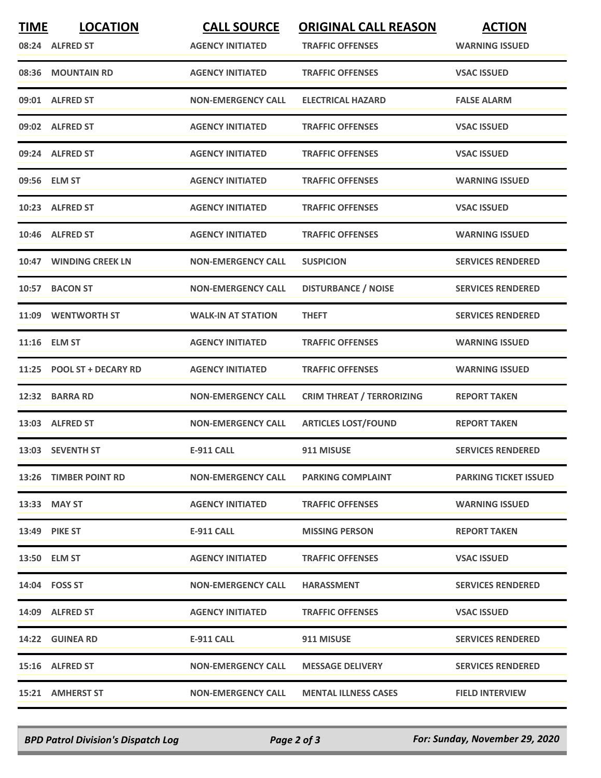| <b>TIME</b> | <b>LOCATION</b><br>08:24 ALFRED ST | <b>CALL SOURCE</b><br><b>AGENCY INITIATED</b> | <b>ORIGINAL CALL REASON</b><br><b>TRAFFIC OFFENSES</b> | <b>ACTION</b><br><b>WARNING ISSUED</b> |
|-------------|------------------------------------|-----------------------------------------------|--------------------------------------------------------|----------------------------------------|
|             | 08:36 MOUNTAIN RD                  | <b>AGENCY INITIATED</b>                       | <b>TRAFFIC OFFENSES</b>                                | <b>VSAC ISSUED</b>                     |
|             | 09:01 ALFRED ST                    | <b>NON-EMERGENCY CALL</b>                     | <b>ELECTRICAL HAZARD</b>                               | <b>FALSE ALARM</b>                     |
|             | 09:02 ALFRED ST                    | <b>AGENCY INITIATED</b>                       | <b>TRAFFIC OFFENSES</b>                                | <b>VSAC ISSUED</b>                     |
|             | 09:24 ALFRED ST                    | <b>AGENCY INITIATED</b>                       | <b>TRAFFIC OFFENSES</b>                                | <b>VSAC ISSUED</b>                     |
|             | 09:56 ELM ST                       | <b>AGENCY INITIATED</b>                       | <b>TRAFFIC OFFENSES</b>                                | <b>WARNING ISSUED</b>                  |
|             | 10:23 ALFRED ST                    | <b>AGENCY INITIATED</b>                       | <b>TRAFFIC OFFENSES</b>                                | <b>VSAC ISSUED</b>                     |
|             | 10:46 ALFRED ST                    | <b>AGENCY INITIATED</b>                       | <b>TRAFFIC OFFENSES</b>                                | <b>WARNING ISSUED</b>                  |
|             | 10:47 WINDING CREEK LN             | <b>NON-EMERGENCY CALL</b>                     | <b>SUSPICION</b>                                       | <b>SERVICES RENDERED</b>               |
|             | 10:57 BACON ST                     | <b>NON-EMERGENCY CALL</b>                     | <b>DISTURBANCE / NOISE</b>                             | <b>SERVICES RENDERED</b>               |
|             | 11:09 WENTWORTH ST                 | <b>WALK-IN AT STATION</b>                     | <b>THEFT</b>                                           | <b>SERVICES RENDERED</b>               |
|             | 11:16 ELM ST                       | <b>AGENCY INITIATED</b>                       | <b>TRAFFIC OFFENSES</b>                                | <b>WARNING ISSUED</b>                  |
|             | 11:25 POOL ST + DECARY RD          | <b>AGENCY INITIATED</b>                       | <b>TRAFFIC OFFENSES</b>                                | <b>WARNING ISSUED</b>                  |
| 12:32       | <b>BARRA RD</b>                    | <b>NON-EMERGENCY CALL</b>                     | <b>CRIM THREAT / TERRORIZING</b>                       | <b>REPORT TAKEN</b>                    |
|             | 13:03 ALFRED ST                    | <b>NON-EMERGENCY CALL</b>                     | <b>ARTICLES LOST/FOUND</b>                             | <b>REPORT TAKEN</b>                    |
|             | 13:03 SEVENTH ST                   | <b>E-911 CALL</b>                             | 911 MISUSE                                             | <b>SERVICES RENDERED</b>               |
|             | 13:26 TIMBER POINT RD              | <b>NON-EMERGENCY CALL</b>                     | <b>PARKING COMPLAINT</b>                               | <b>PARKING TICKET ISSUED</b>           |
|             | 13:33 MAY ST                       | <b>AGENCY INITIATED</b>                       | <b>TRAFFIC OFFENSES</b>                                | <b>WARNING ISSUED</b>                  |
|             | <b>13:49 PIKE ST</b>               | E-911 CALL                                    | <b>MISSING PERSON</b>                                  | <b>REPORT TAKEN</b>                    |
|             | 13:50 ELM ST                       | <b>AGENCY INITIATED</b>                       | <b>TRAFFIC OFFENSES</b>                                | <b>VSAC ISSUED</b>                     |
|             | 14:04 FOSS ST                      | <b>NON-EMERGENCY CALL</b>                     | <b>HARASSMENT</b>                                      | <b>SERVICES RENDERED</b>               |
|             | 14:09 ALFRED ST                    | <b>AGENCY INITIATED</b>                       | <b>TRAFFIC OFFENSES</b>                                | <b>VSAC ISSUED</b>                     |
|             | 14:22 GUINEA RD                    | E-911 CALL                                    | 911 MISUSE                                             | <b>SERVICES RENDERED</b>               |
|             | 15:16 ALFRED ST                    | <b>NON-EMERGENCY CALL</b>                     | <b>MESSAGE DELIVERY</b>                                | <b>SERVICES RENDERED</b>               |
|             | 15:21 AMHERST ST                   | <b>NON-EMERGENCY CALL</b>                     | <b>MENTAL ILLNESS CASES</b>                            | <b>FIELD INTERVIEW</b>                 |

*BPD Patrol Division's Dispatch Log Page 2 of 3 For: Sunday, November 29, 2020*